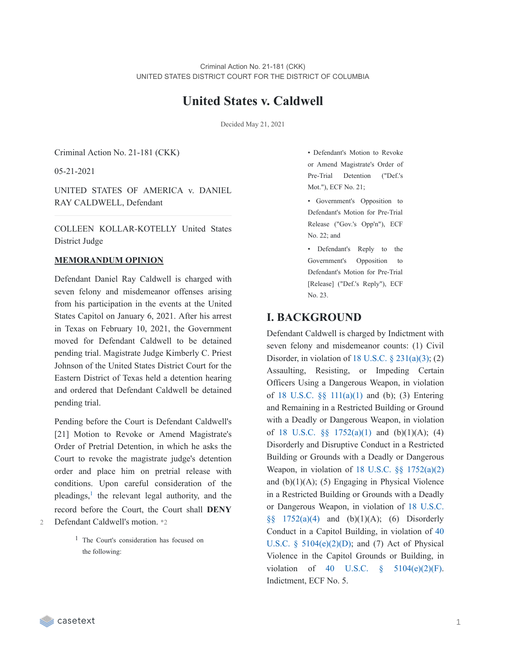# **United States v. Caldwell**

Decided May 21, 2021

Criminal Action No. 21-181 (CKK)

05-21-2021

UNITED STATES OF AMERICA v. DANIEL RAY CALDWELL, Defendant

COLLEEN KOLLAR-KOTELLY United States District Judge

#### **MEMORANDUM OPINION**

Defendant Daniel Ray Caldwell is charged with seven felony and misdemeanor offenses arising from his participation in the events at the United States Capitol on January 6, 2021. After his arrest in Texas on February 10, 2021, the Government moved for Defendant Caldwell to be detained pending trial. Magistrate Judge Kimberly C. Priest Johnson of the United States District Court for the Eastern District of Texas held a detention hearing and ordered that Defendant Caldwell be detained pending trial.

Pending before the Court is Defendant Caldwell's [21] Motion to Revoke or Amend Magistrate's Order of Pretrial Detention, in which he asks the Court to revoke the magistrate judge's detention order and place him on pretrial release with conditions. Upon careful consideration of the pleadings,<sup>[1](https://casetext.com/_print/doc/united-states-v-caldwell-127?_printIncludeHighlights=false&_printIncludeKeyPassages=false&_printIsTwoColumn=true&_printEmail=&_printHighlightsKey=#N196624)</sup> the relevant legal authority, and the record before the Court, the Court shall **DENY** Defendant Caldwell's motion. \*2

> 1 The Court's consideration has focused on the following:

• Defendant's Motion to Revoke or Amend Magistrate's Order of Pre-Trial Detention ("Def.'s Mot."), ECF No. 21;

• Government's Opposition to Defendant's Motion for Pre-Trial Release ("Gov.'s Opp'n"), ECF No. 22; and

• Defendant's Reply to the Government's Opposition to Defendant's Motion for Pre-Trial [Release] ("Def.'s Reply"), ECF No. 23.

## **I. BACKGROUND**

Defendant Caldwell is charged by Indictment with seven felony and misdemeanor counts: (1) Civil Disorder, in violation of 18 U.S.C.  $\S$  [231\(a\)\(3\)](https://casetext.com/statute/united-states-code/title-18-crimes-and-criminal-procedure/part-i-crimes/chapter-12-civil-disorders/section-231-civil-disorders); (2) Assaulting, Resisting, or Impeding Certain Officers Using a Dangerous Weapon, in violation of 18 U.S.C. §§ [111\(a\)\(1\)](https://casetext.com/statute/united-states-code/title-18-crimes-and-criminal-procedure/part-i-crimes/chapter-7-assault/section-111-assaulting-resisting-or-impeding-certain-officers-or-employees) and (b); (3) Entering and Remaining in a Restricted Building or Ground with a Deadly or Dangerous Weapon, in violation of 18 U.S.C.  $\S$  [1752\(a\)\(1\)](https://casetext.com/statute/united-states-code/title-18-crimes-and-criminal-procedure/part-i-crimes/chapter-84-presidential-and-presidential-staff-assassination-kidnapping-and-assault/section-1752-restricted-building-or-grounds) and (b)(1)(A); (4) Disorderly and Disruptive Conduct in a Restricted Building or Grounds with a Deadly or Dangerous Weapon, in violation of 18 U.S.C. §§ [1752\(a\)\(2\)](https://casetext.com/statute/united-states-code/title-18-crimes-and-criminal-procedure/part-i-crimes/chapter-84-presidential-and-presidential-staff-assassination-kidnapping-and-assault/section-1752-restricted-building-or-grounds) and  $(b)(1)(A)$ ; (5) Engaging in Physical Violence in a Restricted Building or Grounds with a Deadly or [Dangerous](https://casetext.com/statute/united-states-code/title-18-crimes-and-criminal-procedure/part-i-crimes/chapter-84-presidential-and-presidential-staff-assassination-kidnapping-and-assault/section-1752-restricted-building-or-grounds) Weapon, in violation of 18 U.S.C.  $\S\S 1752(a)(4)$  and  $(b)(1)(A)$ ; (6) Disorderly Conduct in a Capitol Building, in violation of 40 U.S.C. §  $5104(e)(2)(D)$ ; and (7) Act of Physical Violence in the Capitol Grounds or Building, in violation of 40 U.S.C.  $\S$  [5104\(e\)\(2\)\(F\).](https://casetext.com/statute/united-states-code/title-40-public-buildings-property-and-works/subtitle-ii-public-buildings-and-works/part-b-united-states-capitol/chapter-51-united-states-capitol-buildings-and-grounds/section-5104-unlawful-activities) Indictment, ECF No. 5.

 $\mathcal{L}$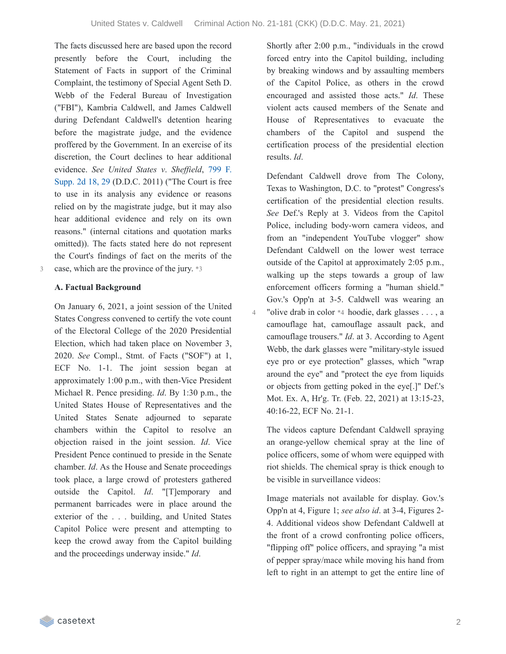4

The facts discussed here are based upon the record presently before the Court, including the Statement of Facts in support of the Criminal Complaint, the testimony of Special Agent Seth D. Webb of the Federal Bureau of Investigation ("FBI"), Kambria Caldwell, and James Caldwell during Defendant Caldwell's detention hearing before the magistrate judge, and the evidence proffered by the Government. In an exercise of its discretion, the Court declines to hear additional [evidence.](https://casetext.com/case/us-v-sheffield-10#p29) *See United States v*. *Shef ield*, 799 F. Supp. 2d 18, 29 (D.D.C. 2011) ("The Court is free to use in its analysis any evidence or reasons relied on by the magistrate judge, but it may also hear additional evidence and rely on its own reasons." (internal citations and quotation marks omitted)). The facts stated here do not represent the Court's findings of fact on the merits of the 3 case, which are the province of the jury. \*3

#### **A. Factual Background**

On January 6, 2021, a joint session of the United States Congress convened to certify the vote count of the Electoral College of the 2020 Presidential Election, which had taken place on November 3, 2020. *See* Compl., Stmt. of Facts ("SOF") at 1, ECF No. 1-1. The joint session began at approximately 1:00 p.m., with then-Vice President Michael R. Pence presiding. *Id*. By 1:30 p.m., the United States House of Representatives and the United States Senate adjourned to separate chambers within the Capitol to resolve an objection raised in the joint session. *Id*. Vice President Pence continued to preside in the Senate chamber. *Id*. As the House and Senate proceedings took place, a large crowd of protesters gathered outside the Capitol. *Id*. "[T]emporary and permanent barricades were in place around the exterior of the . . . building, and United States Capitol Police were present and attempting to keep the crowd away from the Capitol building and the proceedings underway inside." *Id*.

Shortly after 2:00 p.m., "individuals in the crowd forced entry into the Capitol building, including by breaking windows and by assaulting members of the Capitol Police, as others in the crowd encouraged and assisted those acts." *Id*. These violent acts caused members of the Senate and House of Representatives to evacuate the chambers of the Capitol and suspend the certification process of the presidential election results. *Id*.

Defendant Caldwell drove from The Colony, Texas to Washington, D.C. to "protest" Congress's certification of the presidential election results. *See* Def.'s Reply at 3. Videos from the Capitol Police, including body-worn camera videos, and from an "independent YouTube vlogger" show Defendant Caldwell on the lower west terrace outside of the Capitol at approximately 2:05 p.m., walking up the steps towards a group of law enforcement officers forming a "human shield." Gov.'s Opp'n at 3-5. Caldwell was wearing an "olive drab in color \*4 hoodie, dark glasses . . . , a camouflage hat, camouflage assault pack, and camouflage trousers." *Id*. at 3. According to Agent Webb, the dark glasses were "military-style issued eye pro or eye protection" glasses, which "wrap around the eye" and "protect the eye from liquids or objects from getting poked in the eye[.]" Def.'s Mot. Ex. A, Hr'g. Tr. (Feb. 22, 2021) at 13:15-23, 40:16-22, ECF No. 21-1.

The videos capture Defendant Caldwell spraying an orange-yellow chemical spray at the line of police officers, some of whom were equipped with riot shields. The chemical spray is thick enough to be visible in surveillance videos:

Image materials not available for display. Gov.'s Opp'n at 4, Figure 1; *see also id*. at 3-4, Figures 2- 4. Additional videos show Defendant Caldwell at the front of a crowd confronting police officers, "flipping off" police officers, and spraying "a mist of pepper spray/mace while moving his hand from left to right in an attempt to get the entire line of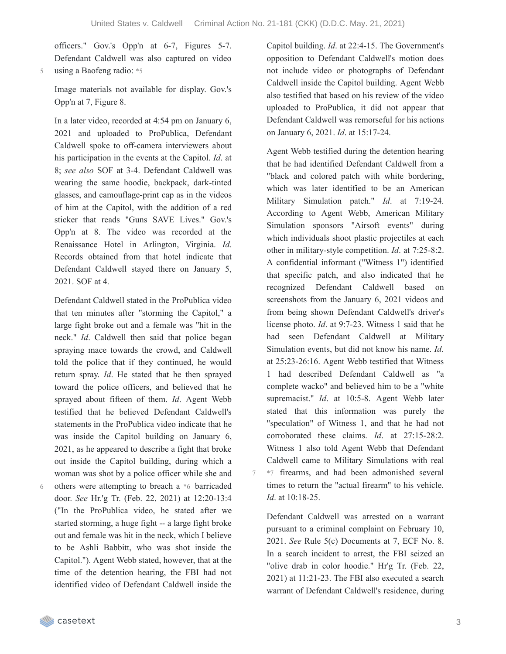7

officers." Gov.'s Opp'n at 6-7, Figures 5-7. Defendant Caldwell was also captured on video 5 using a Baofeng radio: \*5

Image materials not available for display. Gov.'s Opp'n at 7, Figure 8.

In a later video, recorded at 4:54 pm on January 6, 2021 and uploaded to ProPublica, Defendant Caldwell spoke to off-camera interviewers about his participation in the events at the Capitol. *Id*. at 8; *see also* SOF at 3-4. Defendant Caldwell was wearing the same hoodie, backpack, dark-tinted glasses, and camouflage-print cap as in the videos of him at the Capitol, with the addition of a red sticker that reads "Guns SAVE Lives." Gov.'s Opp'n at 8. The video was recorded at the Renaissance Hotel in Arlington, Virginia. *Id*. Records obtained from that hotel indicate that Defendant Caldwell stayed there on January 5, 2021. SOF at 4.

Defendant Caldwell stated in the ProPublica video that ten minutes after "storming the Capitol," a large fight broke out and a female was "hit in the neck." *Id*. Caldwell then said that police began spraying mace towards the crowd, and Caldwell told the police that if they continued, he would return spray. *Id*. He stated that he then sprayed toward the police officers, and believed that he sprayed about fifteen of them. *Id*. Agent Webb testified that he believed Defendant Caldwell's statements in the ProPublica video indicate that he was inside the Capitol building on January 6, 2021, as he appeared to describe a fight that broke out inside the Capitol building, during which a woman was shot by a police officer while she and

6

others were attempting to breach a \*6 barricaded door. *See* Hr.'g Tr. (Feb. 22, 2021) at 12:20-13:4 ("In the ProPublica video, he stated after we started storming, a huge fight -- a large fight broke out and female was hit in the neck, which I believe to be Ashli Babbitt, who was shot inside the Capitol."). Agent Webb stated, however, that at the time of the detention hearing, the FBI had not identified video of Defendant Caldwell inside the

Capitol building. *Id*. at 22:4-15. The Government's opposition to Defendant Caldwell's motion does not include video or photographs of Defendant Caldwell inside the Capitol building. Agent Webb also testified that based on his review of the video uploaded to ProPublica, it did not appear that Defendant Caldwell was remorseful for his actions on January 6, 2021. *Id*. at 15:17-24.

Agent Webb testified during the detention hearing that he had identified Defendant Caldwell from a "black and colored patch with white bordering, which was later identified to be an American Military Simulation patch." *Id*. at 7:19-24. According to Agent Webb, American Military Simulation sponsors "Airsoft events" during which individuals shoot plastic projectiles at each other in military-style competition. *Id*. at 7:25-8:2. A confidential informant ("Witness 1") identified that specific patch, and also indicated that he recognized Defendant Caldwell based on screenshots from the January 6, 2021 videos and from being shown Defendant Caldwell's driver's license photo. *Id*. at 9:7-23. Witness 1 said that he had seen Defendant Caldwell at Military Simulation events, but did not know his name. *Id*. at 25:23-26:16. Agent Webb testified that Witness 1 had described Defendant Caldwell as "a complete wacko" and believed him to be a "white supremacist." *Id*. at 10:5-8. Agent Webb later stated that this information was purely the "speculation" of Witness 1, and that he had not corroborated these claims. *Id*. at 27:15-28:2. Witness 1 also told Agent Webb that Defendant Caldwell came to Military Simulations with real \*7 firearms, and had been admonished several times to return the "actual firearm" to his vehicle. *Id*. at 10:18-25.

Defendant Caldwell was arrested on a warrant pursuant to a criminal complaint on February 10, 2021. *See* Rule 5(c) Documents at 7, ECF No. 8. In a search incident to arrest, the FBI seized an "olive drab in color hoodie." Hr'g Tr. (Feb. 22, 2021) at 11:21-23. The FBI also executed a search warrant of Defendant Caldwell's residence, during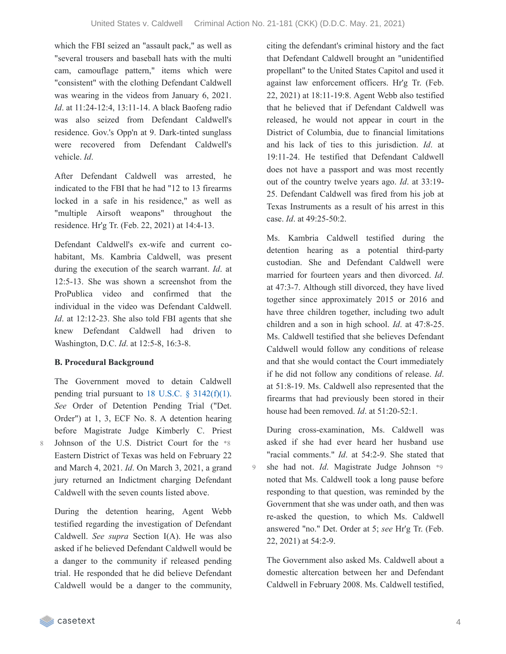9

which the FBI seized an "assault pack," as well as "several trousers and baseball hats with the multi cam, camouflage pattern," items which were "consistent" with the clothing Defendant Caldwell was wearing in the videos from January 6, 2021. *Id*. at 11:24-12:4, 13:11-14. A black Baofeng radio was also seized from Defendant Caldwell's residence. Gov.'s Opp'n at 9. Dark-tinted sunglass were recovered from Defendant Caldwell's vehicle. *Id*.

After Defendant Caldwell was arrested, he indicated to the FBI that he had "12 to 13 firearms locked in a safe in his residence," as well as "multiple Airsoft weapons" throughout the residence. Hr'g Tr. (Feb. 22, 2021) at 14:4-13.

Defendant Caldwell's ex-wife and current cohabitant, Ms. Kambria Caldwell, was present during the execution of the search warrant. *Id*. at 12:5-13. She was shown a screenshot from the ProPublica video and confirmed that the individual in the video was Defendant Caldwell. *Id*. at 12:12-23. She also told FBI agents that she knew Defendant Caldwell had driven to Washington, D.C. *Id*. at 12:5-8, 16:3-8.

#### **B. Procedural Background**

The Government moved to detain Caldwell pending trial pursuant to 18 U.S.C.  $\S$  [3142\(f\)\(1\).](https://casetext.com/statute/united-states-code/title-18-crimes-and-criminal-procedure/part-ii-criminal-procedure/chapter-207-release-and-detention-pending-judicial-proceedings/section-3142-release-or-detention-of-a-defendant-pending-trial) *See* Order of Detention Pending Trial ("Det. Order") at 1, 3, ECF No. 8. A detention hearing before Magistrate Judge Kimberly C. Priest Johnson of the U.S. District Court for the \*8 Eastern District of Texas was held on February 22 and March 4, 2021. *Id*. On March 3, 2021, a grand jury returned an Indictment charging Defendant Caldwell with the seven counts listed above.

During the detention hearing, Agent Webb testified regarding the investigation of Defendant Caldwell. *See supra* Section I(A). He was also asked if he believed Defendant Caldwell would be a danger to the community if released pending trial. He responded that he did believe Defendant Caldwell would be a danger to the community, citing the defendant's criminal history and the fact that Defendant Caldwell brought an "unidentified propellant" to the United States Capitol and used it against law enforcement officers. Hr'g Tr. (Feb. 22, 2021) at 18:11-19:8. Agent Webb also testified that he believed that if Defendant Caldwell was released, he would not appear in court in the District of Columbia, due to financial limitations and his lack of ties to this jurisdiction. *Id*. at 19:11-24. He testified that Defendant Caldwell does not have a passport and was most recently out of the country twelve years ago. *Id*. at 33:19- 25. Defendant Caldwell was fired from his job at Texas Instruments as a result of his arrest in this case. *Id*. at 49:25-50:2.

Ms. Kambria Caldwell testified during the detention hearing as a potential third-party custodian. She and Defendant Caldwell were married for fourteen years and then divorced. *Id*. at 47:3-7. Although still divorced, they have lived together since approximately 2015 or 2016 and have three children together, including two adult children and a son in high school. *Id*. at 47:8-25. Ms. Caldwell testified that she believes Defendant Caldwell would follow any conditions of release and that she would contact the Court immediately if he did not follow any conditions of release. *Id*. at 51:8-19. Ms. Caldwell also represented that the firearms that had previously been stored in their house had been removed. *Id*. at 51:20-52:1.

During cross-examination, Ms. Caldwell was asked if she had ever heard her husband use "racial comments." *Id*. at 54:2-9. She stated that she had not. *Id*. Magistrate Judge Johnson \*9 noted that Ms. Caldwell took a long pause before responding to that question, was reminded by the Government that she was under oath, and then was re-asked the question, to which Ms. Caldwell answered "no." Det. Order at 5; *see* Hr'g Tr. (Feb. 22, 2021) at 54:2-9.

The Government also asked Ms. Caldwell about a domestic altercation between her and Defendant Caldwell in February 2008. Ms. Caldwell testified,

casetext

8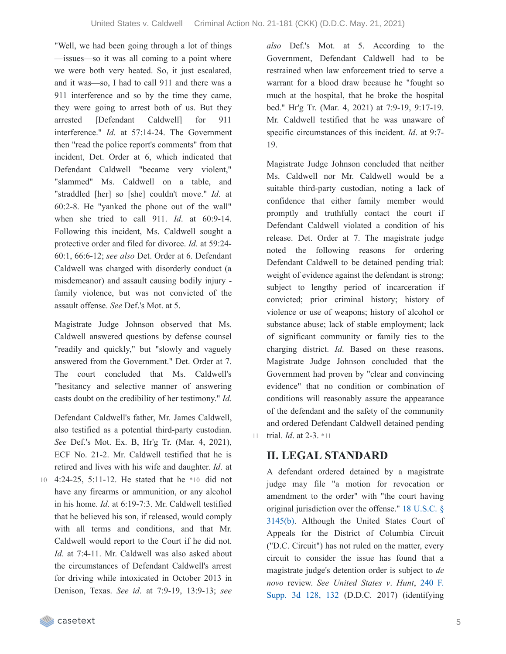"Well, we had been going through a lot of things —issues—so it was all coming to a point where we were both very heated. So, it just escalated, and it was—so, I had to call 911 and there was a 911 interference and so by the time they came, they were going to arrest both of us. But they arrested [Defendant Caldwell] for 911 interference." *Id*. at 57:14-24. The Government then "read the police report's comments" from that incident, Det. Order at 6, which indicated that Defendant Caldwell "became very violent," "slammed" Ms. Caldwell on a table, and "straddled [her] so [she] couldn't move." *Id*. at 60:2-8. He "yanked the phone out of the wall" when she tried to call 911. *Id*. at 60:9-14. Following this incident, Ms. Caldwell sought a protective order and filed for divorce. *Id*. at 59:24- 60:1, 66:6-12; *see also* Det. Order at 6. Defendant Caldwell was charged with disorderly conduct (a misdemeanor) and assault causing bodily injury family violence, but was not convicted of the assault offense. *See* Def.'s Mot. at 5.

Magistrate Judge Johnson observed that Ms. Caldwell answered questions by defense counsel "readily and quickly," but "slowly and vaguely answered from the Government." Det. Order at 7. The court concluded that Ms. Caldwell's "hesitancy and selective manner of answering casts doubt on the credibility of her testimony." *Id*.

Defendant Caldwell's father, Mr. James Caldwell, also testified as a potential third-party custodian. *See* Def.'s Mot. Ex. B, Hr'g Tr. (Mar. 4, 2021), ECF No. 21-2. Mr. Caldwell testified that he is retired and lives with his wife and daughter. *Id*. at

4:24-25, 5:11-12. He stated that he \*10 did not have any firearms or ammunition, or any alcohol in his home. *Id*. at 6:19-7:3. Mr. Caldwell testified that he believed his son, if released, would comply with all terms and conditions, and that Mr. Caldwell would report to the Court if he did not. *Id.* at 7:4-11. Mr. Caldwell was also asked about the circumstances of Defendant Caldwell's arrest for driving while intoxicated in October 2013 in Denison, Texas. *See id*. at 7:9-19, 13:9-13; *see* 10

*also* Def.'s Mot. at 5. According to the Government, Defendant Caldwell had to be restrained when law enforcement tried to serve a warrant for a blood draw because he "fought so much at the hospital, that he broke the hospital bed." Hr'g Tr. (Mar. 4, 2021) at 7:9-19, 9:17-19. Mr. Caldwell testified that he was unaware of specific circumstances of this incident. *Id*. at 9:7- 19.

Magistrate Judge Johnson concluded that neither Ms. Caldwell nor Mr. Caldwell would be a suitable third-party custodian, noting a lack of confidence that either family member would promptly and truthfully contact the court if Defendant Caldwell violated a condition of his release. Det. Order at 7. The magistrate judge noted the following reasons for ordering Defendant Caldwell to be detained pending trial: weight of evidence against the defendant is strong; subject to lengthy period of incarceration if convicted; prior criminal history; history of violence or use of weapons; history of alcohol or substance abuse; lack of stable employment; lack of significant community or family ties to the charging district. *Id*. Based on these reasons, Magistrate Judge Johnson concluded that the Government had proven by "clear and convincing evidence" that no condition or combination of conditions will reasonably assure the appearance of the defendant and the safety of the community and ordered Defendant Caldwell detained pending 11 trial. *Id*. at 2-3. \*11

## **II. LEGAL STANDARD**

A defendant ordered detained by a magistrate judge may file "a motion for revocation or amendment to the order" with "the court having original [jurisdiction](https://casetext.com/statute/united-states-code/title-18-crimes-and-criminal-procedure/part-ii-criminal-procedure/chapter-207-release-and-detention-pending-judicial-proceedings/section-3145-review-and-appeal-of-a-release-or-detention-order) over the offense." 18 U.S.C. § 3145(b). Although the United States Court of Appeals for the District of Columbia Circuit ("D.C. Circuit") has not ruled on the matter, every circuit to consider the issue has found that a magistrate judge's detention order is subject to *de novo* review. *See United States v*. *Hunt*, 240 F. Supp. 3d 128, 132 (D.D.C. 2017) [\(identifying](https://casetext.com/case/united-states-v-hunt-95#p132)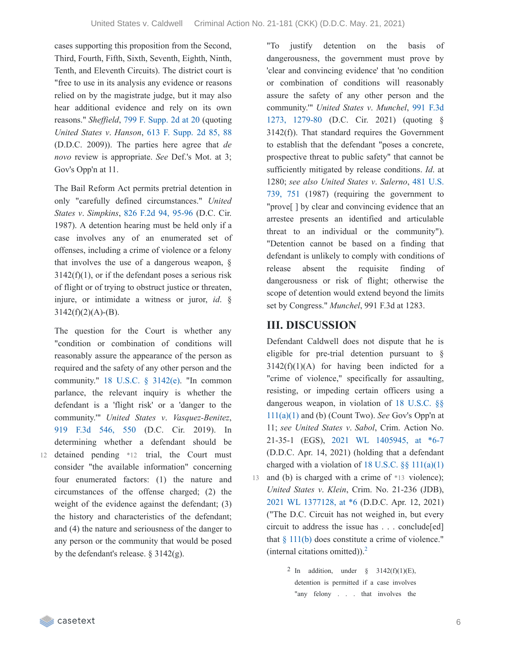cases supporting this proposition from the Second, Third, Fourth, Fifth, Sixth, Seventh, Eighth, Ninth, Tenth, and Eleventh Circuits). The district court is "free to use in its analysis any evidence or reasons relied on by the magistrate judge, but it may also hear additional evidence and rely on its own reasons." *Sheffield*, 799 F. [Supp.](https://casetext.com/case/us-v-sheffield-10#p20) 2d at 20 (quoting) *United States v*. *Hanson*, 613 F. [Supp.](https://casetext.com/case/us-v-hanson-27#p88) 2d 85, 88 (D.D.C. 2009)). The parties here agree that *de novo* review is appropriate. *See* Def.'s Mot. at 3; Gov's Opp'n at 11.

The Bail Reform Act permits pretrial detention in only "carefully defined circumstances." *United States v*. *Simpkins*, 826 F.2d 94, [95-96](https://casetext.com/case/us-v-simpkins-3#p95) (D.C. Cir. 1987). A detention hearing must be held only if a case involves any of an enumerated set of offenses, including a crime of violence or a felony that involves the use of a dangerous weapon, §  $3142(f)(1)$ , or if the defendant poses a serious risk of flight or of trying to obstruct justice or threaten, injure, or intimidate a witness or juror, *id*. §  $3142(f)(2)(A) - (B)$ .

The question for the Court is whether any "condition or combination of conditions will reasonably assure the appearance of the person as required and the safety of any other person and the community." 18 U.S.C. § [3142\(e\).](https://casetext.com/statute/united-states-code/title-18-crimes-and-criminal-procedure/part-ii-criminal-procedure/chapter-207-release-and-detention-pending-judicial-proceedings/section-3142-release-or-detention-of-a-defendant-pending-trial) "In common parlance, the relevant inquiry is whether the defendant is a 'flight risk' or a 'danger to the community.'" *United States v*. *Vasquez-Benitez*, 919 F.3d [546,](https://casetext.com/case/united-states-v-vasquez-benitez-2#p550) 550 (D.C. Cir. 2019). In determining whether a defendant should be 12 detained pending \*12 trial, the Court must consider "the available information" concerning four enumerated factors: (1) the nature and circumstances of the offense charged; (2) the weight of the evidence against the defendant; (3) the history and characteristics of the defendant; and (4) the nature and seriousness of the danger to any person or the community that would be posed by the defendant's release. § 3142(g).

"To justify detention on the basis of dangerousness, the government must prove by 'clear and convincing evidence' that 'no condition or combination of conditions will reasonably assure the safety of any other person and the [community.'"](https://casetext.com/case/united-states-v-munchel-1#p1279) *United States v*. *Munchel*, 991 F.3d 1273, 1279-80 (D.C. Cir. 2021) (quoting § 3142(f)). That standard requires the Government to establish that the defendant "poses a concrete, prospective threat to public safety" that cannot be sufficiently mitigated by release conditions. *Id*. at 1280; *see also United States v*. *Salerno*, 481 U.S. 739, 751 (1987) (requiring the [government](https://casetext.com/case/united-states-v-salerno-7#p751) to "prove[ ] by clear and convincing evidence that an arrestee presents an identified and articulable threat to an individual or the community"). "Detention cannot be based on a finding that defendant is unlikely to comply with conditions of release absent the requisite finding of dangerousness or risk of flight; otherwise the scope of detention would extend beyond the limits set by Congress." *Munchel*, 991 F.3d at 1283.

### **III. DISCUSSION**

Defendant Caldwell does not dispute that he is eligible for pre-trial detention pursuant to §  $3142(f)(1)(A)$  for having been indicted for a "crime of violence," specifically for assaulting, resisting, or impeding certain officers using a [dangerous](https://casetext.com/statute/united-states-code/title-18-crimes-and-criminal-procedure/part-i-crimes/chapter-7-assault/section-111-assaulting-resisting-or-impeding-certain-officers-or-employees) weapon, in violation of 18 U.S.C. §§ 111(a)(1) and (b) (Count Two). *See* Gov's Opp'n at 11; *see United States v*. *Sabol*, Crim. Action No. 21-35-1 (EGS), 2021 WL [1405945,](https://casetext.com/case/united-states-v-sabol-1#p6) at \*6-7 (D.D.C. Apr. 14, 2021) (holding that a defendant charged with a violation of 18 U.S.C.  $\S\S 111(a)(1)$  $\S\S 111(a)(1)$ 13 and (b) is charged with a crime of \*13 violence); *United States v*. *Klein*, Crim. No. 21-236 (JDB), 2021 WL [1377128,](https://casetext.com/case/united-states-v-klein-95#p6) at \*6 (D.D.C. Apr. 12, 2021) ("The D.C. Circuit has not weighed in, but every circuit to address the issue has . . . conclude[ed] that  $§$  [111\(b\)](https://casetext.com/statute/united-states-code/title-18-crimes-and-criminal-procedure/part-i-crimes/chapter-7-assault/section-111-assaulting-resisting-or-impeding-certain-officers-or-employees) does constitute a crime of violence." (internal citations omitted)). [2](https://casetext.com/_print/doc/united-states-v-caldwell-127?_printIncludeHighlights=false&_printIncludeKeyPassages=false&_printIsTwoColumn=true&_printEmail=&_printHighlightsKey=#N197015)

> <sup>2</sup> In addition, under  $\S$  3142(f)(1)(E), detention is permitted if a case involves "any felony . . . that involves the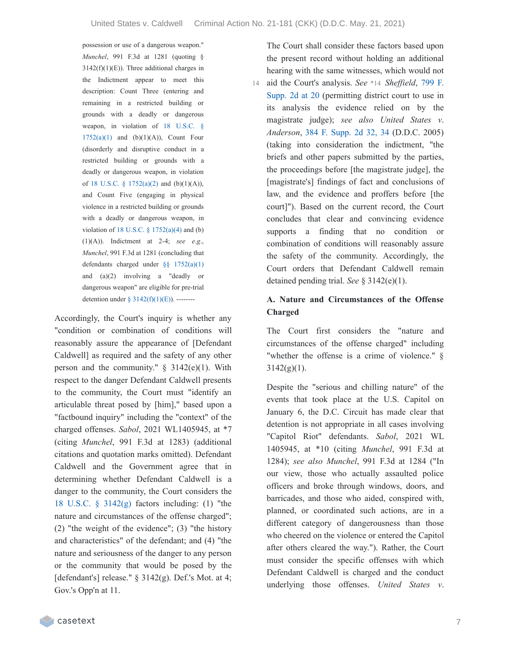possession or use of a dangerous weapon." *Munchel*, 991 F.3d at 1281 (quoting §  $3142(f)(1)(E)$ ). Three additional charges in the Indictment appear to meet this description: Count Three (entering and remaining in a restricted building or grounds with a deadly or dangerous weapon, in violation of 18 U.S.C. §  $1752(a)(1)$  and  $(b)(1)(A)$ , Count Four (disorderly and disruptive conduct in a restricted building or grounds with a deadly or dangerous weapon, in violation of 18 U.S.C. § [1752\(a\)\(2\)](https://casetext.com/statute/united-states-code/title-18-crimes-and-criminal-procedure/part-i-crimes/chapter-84-presidential-and-presidential-staff-assassination-kidnapping-and-assault/section-1752-restricted-building-or-grounds) and (b)(1)(A)), and Count Five (engaging in physical violence in a restricted building or grounds with a deadly or dangerous weapon, in violation of 18 U.S.C.  $\S$  [1752\(a\)\(4\)](https://casetext.com/statute/united-states-code/title-18-crimes-and-criminal-procedure/part-i-crimes/chapter-84-presidential-and-presidential-staff-assassination-kidnapping-and-assault/section-1752-restricted-building-or-grounds) and (b) (1)(A)). Indictment at 2-4; *see e*.*g*., *Munchel*, 991 F.3d at 1281 (concluding that defendants charged under §§ [1752\(a\)\(1\)](https://casetext.com/statute/united-states-code/title-18-crimes-and-criminal-procedure/part-i-crimes/chapter-84-presidential-and-presidential-staff-assassination-kidnapping-and-assault/section-1752-restricted-building-or-grounds) and (a)(2) involving a "deadly or dangerous weapon" are eligible for pre-trial detention under § [3142\(f\)\(1\)\(E\)\)](https://casetext.com/statute/united-states-code/title-18-crimes-and-criminal-procedure/part-ii-criminal-procedure/chapter-207-release-and-detention-pending-judicial-proceedings/section-3142-release-or-detention-of-a-defendant-pending-trial). --------

Accordingly, the Court's inquiry is whether any "condition or combination of conditions will reasonably assure the appearance of [Defendant Caldwell] as required and the safety of any other person and the community."  $\S$  3142(e)(1). With respect to the danger Defendant Caldwell presents to the community, the Court must "identify an articulable threat posed by [him]," based upon a "factbound inquiry" including the "context" of the charged offenses. *Sabol*, 2021 WL1405945, at \*7 (citing *Munchel*, 991 F.3d at 1283) (additional citations and quotation marks omitted). Defendant Caldwell and the Government agree that in determining whether Defendant Caldwell is a danger to the community, the Court considers the 18 U.S.C. § [3142\(g\)](https://casetext.com/statute/united-states-code/title-18-crimes-and-criminal-procedure/part-ii-criminal-procedure/chapter-207-release-and-detention-pending-judicial-proceedings/section-3142-release-or-detention-of-a-defendant-pending-trial) factors including: (1) "the nature and circumstances of the offense charged"; (2) "the weight of the evidence"; (3) "the history and characteristics" of the defendant; and (4) "the nature and seriousness of the danger to any person or the community that would be posed by the [defendant's] release."  $\S$  3142(g). Def.'s Mot. at 4; Gov.'s Opp'n at 11.

The Court shall consider these factors based upon the present record without holding an additional hearing with the same witnesses, which would not

aid the Court's analysis. *See* \*14 *Sheffield*, 799 F. Supp. 2d at 20 [\(permitting](https://casetext.com/case/us-v-sheffield-10#p20) district court to use in its analysis the evidence relied on by the magistrate judge); *see also United States v*. *Anderson*, 384 F. [Supp.](https://casetext.com/case/us-v-anderson-100#p34) 2d 32, 34 (D.D.C. 2005) (taking into consideration the indictment, "the briefs and other papers submitted by the parties, the proceedings before [the magistrate judge], the [magistrate's] findings of fact and conclusions of law, and the evidence and proffers before [the court]"). Based on the current record, the Court concludes that clear and convincing evidence supports a finding that no condition or combination of conditions will reasonably assure the safety of the community. Accordingly, the Court orders that Defendant Caldwell remain detained pending trial. *See* § 3142(e)(1). 14

#### **A. Nature and Circumstances of the Offense Charged**

The Court first considers the "nature and circumstances of the offense charged" including "whether the offense is a crime of violence." §  $3142(g)(1)$ .

Despite the "serious and chilling nature" of the events that took place at the U.S. Capitol on January 6, the D.C. Circuit has made clear that detention is not appropriate in all cases involving "Capitol Riot" defendants. *Sabol*, 2021 WL 1405945, at \*10 (citing *Munchel*, 991 F.3d at 1284); *see also Munchel*, 991 F.3d at 1284 ("In our view, those who actually assaulted police officers and broke through windows, doors, and barricades, and those who aided, conspired with, planned, or coordinated such actions, are in a different category of dangerousness than those who cheered on the violence or entered the Capitol after others cleared the way."). Rather, the Court must consider the specific offenses with which Defendant Caldwell is charged and the conduct underlying those offenses. *United States v*.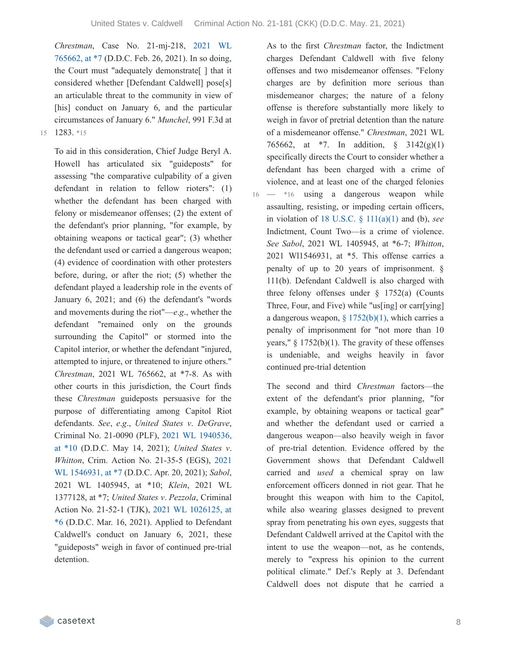*Chrestman*, Case No. [21-mj-218,](https://casetext.com/case/united-states-v-chrestman-2#p7) 2021 WL 765662, at \*7 (D.D.C. Feb. 26, 2021). In so doing, the Court must "adequately demonstrate[ ] that it considered whether [Defendant Caldwell] pose[s] an articulable threat to the community in view of [his] conduct on January 6, and the particular circumstances of January 6." *Munchel*, 991 F.3d at 15 1283. \*15

To aid in this consideration, Chief Judge Beryl A. Howell has articulated six "guideposts" for assessing "the comparative culpability of a given defendant in relation to fellow rioters": (1) whether the defendant has been charged with felony or misdemeanor offenses; (2) the extent of the defendant's prior planning, "for example, by obtaining weapons or tactical gear"; (3) whether the defendant used or carried a dangerous weapon; (4) evidence of coordination with other protesters before, during, or after the riot; (5) whether the defendant played a leadership role in the events of January 6, 2021; and (6) the defendant's "words and movements during the riot"—*e*.*g*., whether the defendant "remained only on the grounds surrounding the Capitol" or stormed into the Capitol interior, or whether the defendant "injured, attempted to injure, or threatened to injure others." *Chrestman*, 2021 WL 765662, at \*7-8. As with other courts in this jurisdiction, the Court finds these *Chrestman* guideposts persuasive for the purpose of differentiating among Capitol Riot defendants. *See*, *e*.*g*., *United States v*. *DeGrave*, Criminal No. 21-0090 (PLF), 2021 WL [1940536,](https://casetext.com/case/united-states-v-degrave-5#p10) at \*10 (D.D.C. May 14, 2021); *United States v*. *Whitton*, Crim. Action No. 21-35-5 (EGS), 2021 WL [1546931,](https://casetext.com/case/united-states-v-whitton-1#p7) at \*7 (D.D.C. Apr. 20, 2021); *Sabol*, 2021 WL 1405945, at \*10; *Klein*, 2021 WL 1377128, at \*7; *United States v*. *Pezzola*, Criminal Action No. 21-52-1 (TJK), 2021 WL 1026125, at \*6 (D.D.C. Mar. 16, 2021). Applied to [Defendant](https://casetext.com/case/united-states-v-pezzola#p6) Caldwell's conduct on January 6, 2021, these "guideposts" weigh in favor of continued pre-trial detention.

As to the first *Chrestman* factor, the Indictment charges Defendant Caldwell with five felony offenses and two misdemeanor offenses. "Felony charges are by definition more serious than misdemeanor charges; the nature of a felony offense is therefore substantially more likely to weigh in favor of pretrial detention than the nature of a misdemeanor offense." *Chrestman*, 2021 WL 765662, at \*7. In addition, § 3142(g)(1) specifically directs the Court to consider whether a defendant has been charged with a crime of violence, and at least one of the charged felonies

 $-$  \*16 using a dangerous weapon while assaulting, resisting, or impeding certain officers, in violation of 18 U.S.C. § [111\(a\)\(1\)](https://casetext.com/statute/united-states-code/title-18-crimes-and-criminal-procedure/part-i-crimes/chapter-7-assault/section-111-assaulting-resisting-or-impeding-certain-officers-or-employees) and (b), *see* Indictment, Count Two—is a crime of violence. *See Sabol*, 2021 WL 1405945, at \*6-7; *Whitton*, 2021 Wl1546931, at \*5. This offense carries a penalty of up to 20 years of imprisonment. § 111(b). Defendant Caldwell is also charged with three felony offenses under  $\S$  1752(a) (Counts Three, Four, and Five) while "us[ing] or carr[ying] a dangerous weapon,  $\S 1752(b)(1)$ , which carries a penalty of imprisonment for "not more than 10 years,"  $\S$  1752(b)(1). The gravity of these offenses is undeniable, and weighs heavily in favor continued pre-trial detention 16

The second and third *Chrestman* factors—the extent of the defendant's prior planning, "for example, by obtaining weapons or tactical gear" and whether the defendant used or carried a dangerous weapon—also heavily weigh in favor of pre-trial detention. Evidence offered by the Government shows that Defendant Caldwell carried and *used* a chemical spray on law enforcement officers donned in riot gear. That he brought this weapon with him to the Capitol, while also wearing glasses designed to prevent spray from penetrating his own eyes, suggests that Defendant Caldwell arrived at the Capitol with the intent to use the weapon—not, as he contends, merely to "express his opinion to the current political climate." Def.'s Reply at 3. Defendant Caldwell does not dispute that he carried a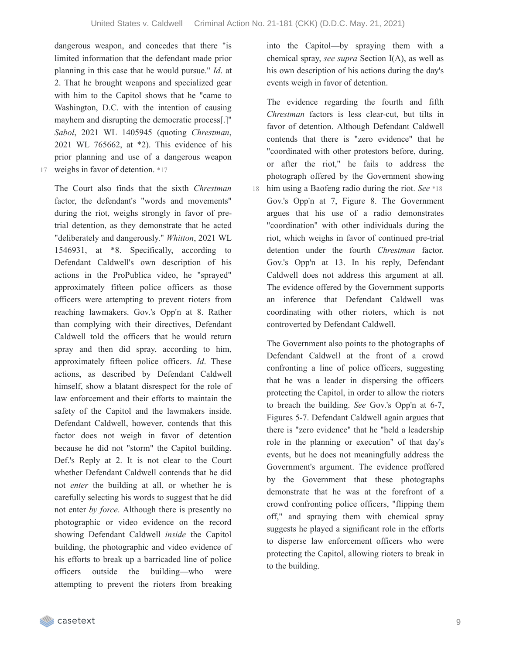dangerous weapon, and concedes that there "is limited information that the defendant made prior planning in this case that he would pursue." *Id*. at 2. That he brought weapons and specialized gear with him to the Capitol shows that he "came to Washington, D.C. with the intention of causing mayhem and disrupting the democratic process[.]" *Sabol*, 2021 WL 1405945 (quoting *Chrestman*, 2021 WL 765662, at \*2). This evidence of his prior planning and use of a dangerous weapon 17 weighs in favor of detention. \*17

The Court also finds that the sixth *Chrestman* factor, the defendant's "words and movements" during the riot, weighs strongly in favor of pretrial detention, as they demonstrate that he acted "deliberately and dangerously." *Whitton*, 2021 WL 1546931, at \*8. Specifically, according to Defendant Caldwell's own description of his actions in the ProPublica video, he "sprayed" approximately fifteen police officers as those officers were attempting to prevent rioters from reaching lawmakers. Gov.'s Opp'n at 8. Rather than complying with their directives, Defendant Caldwell told the officers that he would return spray and then did spray, according to him, approximately fifteen police officers. *Id*. These actions, as described by Defendant Caldwell himself, show a blatant disrespect for the role of law enforcement and their efforts to maintain the safety of the Capitol and the lawmakers inside. Defendant Caldwell, however, contends that this factor does not weigh in favor of detention because he did not "storm" the Capitol building. Def.'s Reply at 2. It is not clear to the Court whether Defendant Caldwell contends that he did not *enter* the building at all, or whether he is carefully selecting his words to suggest that he did not enter *by force*. Although there is presently no photographic or video evidence on the record showing Defendant Caldwell *inside* the Capitol building, the photographic and video evidence of his efforts to break up a barricaded line of police officers outside the building—who were attempting to prevent the rioters from breaking into the Capitol—by spraying them with a chemical spray, *see supra* Section I(A), as well as his own description of his actions during the day's events weigh in favor of detention.

The evidence regarding the fourth and fifth *Chrestman* factors is less clear-cut, but tilts in favor of detention. Although Defendant Caldwell contends that there is "zero evidence" that he "coordinated with other protestors before, during, or after the riot," he fails to address the photograph offered by the Government showing him using a Baofeng radio during the riot. *See* \*18 18 Gov.'s Opp'n at 7, Figure 8. The Government argues that his use of a radio demonstrates "coordination" with other individuals during the riot, which weighs in favor of continued pre-trial detention under the fourth *Chrestman* factor. Gov.'s Opp'n at 13. In his reply, Defendant Caldwell does not address this argument at all. The evidence offered by the Government supports an inference that Defendant Caldwell was coordinating with other rioters, which is not controverted by Defendant Caldwell.

The Government also points to the photographs of Defendant Caldwell at the front of a crowd confronting a line of police officers, suggesting that he was a leader in dispersing the officers protecting the Capitol, in order to allow the rioters to breach the building. *See* Gov.'s Opp'n at 6-7, Figures 5-7. Defendant Caldwell again argues that there is "zero evidence" that he "held a leadership role in the planning or execution" of that day's events, but he does not meaningfully address the Government's argument. The evidence proffered by the Government that these photographs demonstrate that he was at the forefront of a crowd confronting police officers, "flipping them off," and spraying them with chemical spray suggests he played a significant role in the efforts to disperse law enforcement officers who were protecting the Capitol, allowing rioters to break in to the building.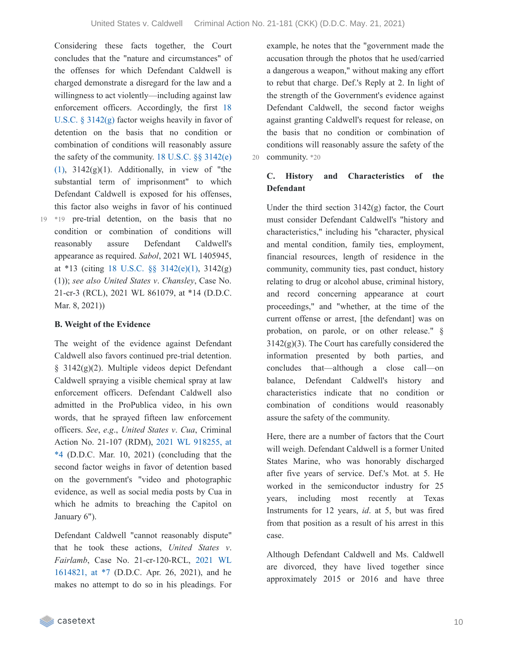Considering these facts together, the Court concludes that the "nature and circumstances" of the offenses for which Defendant Caldwell is charged demonstrate a disregard for the law and a willingness to act violently—including against law enforcement officers. [Accordingly,](https://casetext.com/statute/united-states-code/title-18-crimes-and-criminal-procedure/part-ii-criminal-procedure/chapter-207-release-and-detention-pending-judicial-proceedings/section-3142-release-or-detention-of-a-defendant-pending-trial) the first 18 U.S.C. § 3142(g) factor weighs heavily in favor of detention on the basis that no condition or combination of conditions will reasonably assure the safety of the community.  $18$  U.S.C.  $\S$ §  $3142(e)$  $(1)$ ,  $3142(g)(1)$ . [Additionally,](https://casetext.com/statute/united-states-code/title-18-crimes-and-criminal-procedure/part-ii-criminal-procedure/chapter-207-release-and-detention-pending-judicial-proceedings/section-3142-release-or-detention-of-a-defendant-pending-trial) in view of "the substantial term of imprisonment" to which Defendant Caldwell is exposed for his offenses, this factor also weighs in favor of his continued \*19 pre-trial detention, on the basis that no 19 condition or combination of conditions will reasonably assure Defendant Caldwell's appearance as required. *Sabol*, 2021 WL 1405945, at \*13 (citing 18 U.S.C. §§ [3142\(e\)\(1\),](https://casetext.com/statute/united-states-code/title-18-crimes-and-criminal-procedure/part-ii-criminal-procedure/chapter-207-release-and-detention-pending-judicial-proceedings/section-3142-release-or-detention-of-a-defendant-pending-trial) 3142(g) (1)); *see also United States v*. *Chansley*, Case No. 21-cr-3 (RCL), 2021 WL 861079, at \*14 (D.D.C. Mar. 8, 2021))

#### **B. Weight of the Evidence**

The weight of the evidence against Defendant Caldwell also favors continued pre-trial detention. § 3142(g)(2). Multiple videos depict Defendant Caldwell spraying a visible chemical spray at law enforcement officers. Defendant Caldwell also admitted in the ProPublica video, in his own words, that he sprayed fifteen law enforcement officers. *See*, *e*.*g*., *United States v*. *Cua*, Criminal Action No. 21-107 (RDM), 2021 WL 918255, at  $*4$  (D.D.C. Mar. 10, 2021) [\(concluding](https://casetext.com/case/united-states-v-cua-3#p4) that the second factor weighs in favor of detention based on the government's "video and photographic evidence, as well as social media posts by Cua in which he admits to breaching the Capitol on January 6").

Defendant Caldwell "cannot reasonably dispute" that he took these actions, *United States v*. *Fairlamb*, Case No. [21-cr-120-RCL,](https://casetext.com/case/united-states-v-fairlamb#p7) 2021 WL 1614821, at \*7 (D.D.C. Apr. 26, 2021), and he makes no attempt to do so in his pleadings. For

example, he notes that the "government made the accusation through the photos that he used/carried a dangerous a weapon," without making any effort to rebut that charge. Def.'s Reply at 2. In light of the strength of the Government's evidence against Defendant Caldwell, the second factor weighs against granting Caldwell's request for release, on the basis that no condition or combination of conditions will reasonably assure the safety of the 20 community. \*20

### **C. History and Characteristics of the Defendant**

Under the third section  $3142(g)$  factor, the Court must consider Defendant Caldwell's "history and characteristics," including his "character, physical and mental condition, family ties, employment, financial resources, length of residence in the community, community ties, past conduct, history relating to drug or alcohol abuse, criminal history, and record concerning appearance at court proceedings," and "whether, at the time of the current offense or arrest, [the defendant] was on probation, on parole, or on other release." §  $3142(g)(3)$ . The Court has carefully considered the information presented by both parties, and concludes that—although a close call—on balance, Defendant Caldwell's history and characteristics indicate that no condition or combination of conditions would reasonably assure the safety of the community.

Here, there are a number of factors that the Court will weigh. Defendant Caldwell is a former United States Marine, who was honorably discharged after five years of service. Def.'s Mot. at 5. He worked in the semiconductor industry for 25 years, including most recently at Texas Instruments for 12 years, *id*. at 5, but was fired from that position as a result of his arrest in this case.

Although Defendant Caldwell and Ms. Caldwell are divorced, they have lived together since approximately 2015 or 2016 and have three

casetext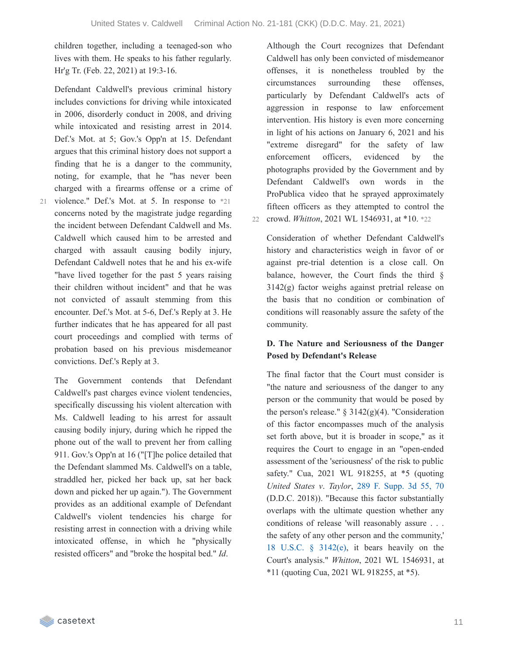children together, including a teenaged-son who lives with them. He speaks to his father regularly. Hr'g Tr. (Feb. 22, 2021) at 19:3-16.

Defendant Caldwell's previous criminal history includes convictions for driving while intoxicated in 2006, disorderly conduct in 2008, and driving while intoxicated and resisting arrest in 2014. Def.'s Mot. at 5; Gov.'s Opp'n at 15. Defendant argues that this criminal history does not support a finding that he is a danger to the community, noting, for example, that he "has never been charged with a firearms offense or a crime of

- 
- 21 violence." Def.'s Mot. at 5. In response to \*21 concerns noted by the magistrate judge regarding the incident between Defendant Caldwell and Ms. Caldwell which caused him to be arrested and charged with assault causing bodily injury, Defendant Caldwell notes that he and his ex-wife "have lived together for the past 5 years raising their children without incident" and that he was not convicted of assault stemming from this encounter. Def.'s Mot. at 5-6, Def.'s Reply at 3. He further indicates that he has appeared for all past court proceedings and complied with terms of probation based on his previous misdemeanor convictions. Def.'s Reply at 3.

The Government contends that Defendant Caldwell's past charges evince violent tendencies, specifically discussing his violent altercation with Ms. Caldwell leading to his arrest for assault causing bodily injury, during which he ripped the phone out of the wall to prevent her from calling 911. Gov.'s Opp'n at 16 ("[T]he police detailed that the Defendant slammed Ms. Caldwell's on a table, straddled her, picked her back up, sat her back down and picked her up again."). The Government provides as an additional example of Defendant Caldwell's violent tendencies his charge for resisting arrest in connection with a driving while intoxicated offense, in which he "physically resisted officers" and "broke the hospital bed." *Id*.

Although the Court recognizes that Defendant Caldwell has only been convicted of misdemeanor offenses, it is nonetheless troubled by the circumstances surrounding these offenses, particularly by Defendant Caldwell's acts of aggression in response to law enforcement intervention. His history is even more concerning in light of his actions on January 6, 2021 and his "extreme disregard" for the safety of law enforcement officers, evidenced by the photographs provided by the Government and by Defendant Caldwell's own words in the ProPublica video that he sprayed approximately fifteen officers as they attempted to control the 22 crowd. *Whitton*, 2021 WL 1546931, at \*10. \*22

Consideration of whether Defendant Caldwell's history and characteristics weigh in favor of or against pre-trial detention is a close call. On balance, however, the Court finds the third § 3142(g) factor weighs against pretrial release on the basis that no condition or combination of conditions will reasonably assure the safety of the community.

#### **D. The Nature and Seriousness of the Danger Posed by Defendant's Release**

The final factor that the Court must consider is "the nature and seriousness of the danger to any person or the community that would be posed by the person's release."  $\S 3142(g)(4)$ . "Consideration of this factor encompasses much of the analysis set forth above, but it is broader in scope," as it requires the Court to engage in an "open-ended assessment of the 'seriousness' of the risk to public safety." Cua, 2021 WL 918255, at \*5 (quoting *United States v*. *Taylor*, 289 F. [Supp.](https://casetext.com/case/united-states-v-taylor-915#p70) 3d 55, 70 (D.D.C. 2018)). "Because this factor substantially overlaps with the ultimate question whether any conditions of release 'will reasonably assure . . . the safety of any other person and the community,' 18 U.S.C. § [3142\(e\)](https://casetext.com/statute/united-states-code/title-18-crimes-and-criminal-procedure/part-ii-criminal-procedure/chapter-207-release-and-detention-pending-judicial-proceedings/section-3142-release-or-detention-of-a-defendant-pending-trial), it bears heavily on the Court's analysis." *Whitton*, 2021 WL 1546931, at \*11 (quoting Cua, 2021 WL 918255, at \*5).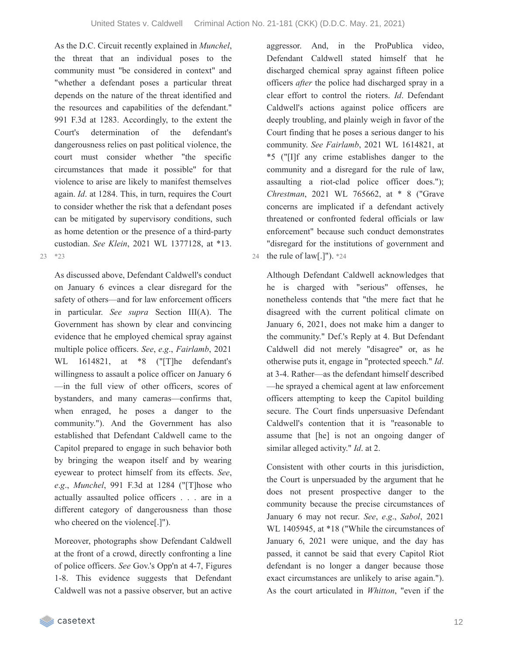As the D.C. Circuit recently explained in *Munchel*, the threat that an individual poses to the community must "be considered in context" and "whether a defendant poses a particular threat depends on the nature of the threat identified and the resources and capabilities of the defendant." 991 F.3d at 1283. Accordingly, to the extent the Court's determination of the defendant's dangerousness relies on past political violence, the court must consider whether "the specific circumstances that made it possible" for that violence to arise are likely to manifest themselves again. *Id*. at 1284. This, in turn, requires the Court to consider whether the risk that a defendant poses can be mitigated by supervisory conditions, such as home detention or the presence of a third-party custodian. *See Klein*, 2021 WL 1377128, at \*13.

23 \*23

As discussed above, Defendant Caldwell's conduct on January 6 evinces a clear disregard for the safety of others—and for law enforcement officers in particular. *See supra* Section III(A). The Government has shown by clear and convincing evidence that he employed chemical spray against multiple police officers. *See*, *e*.*g*., *Fairlamb*, 2021 WL 1614821, at \*8 ("[T]he defendant's willingness to assault a police officer on January 6 —in the full view of other officers, scores of bystanders, and many cameras—confirms that, when enraged, he poses a danger to the community."). And the Government has also established that Defendant Caldwell came to the Capitol prepared to engage in such behavior both by bringing the weapon itself and by wearing eyewear to protect himself from its effects. *See*, *e*.*g*., *Munchel*, 991 F.3d at 1284 ("[T]hose who actually assaulted police officers . . . are in a different category of dangerousness than those who cheered on the violence[.]").

Moreover, photographs show Defendant Caldwell at the front of a crowd, directly confronting a line of police officers. *See* Gov.'s Opp'n at 4-7, Figures 1-8. This evidence suggests that Defendant Caldwell was not a passive observer, but an active

aggressor. And, in the ProPublica video, Defendant Caldwell stated himself that he discharged chemical spray against fifteen police officers *after* the police had discharged spray in a clear effort to control the rioters. *Id*. Defendant Caldwell's actions against police officers are deeply troubling, and plainly weigh in favor of the Court finding that he poses a serious danger to his community. *See Fairlamb*, 2021 WL 1614821, at \*5 ("[I]f any crime establishes danger to the community and a disregard for the rule of law, assaulting a riot-clad police officer does."); *Chrestman*, 2021 WL 765662, at \* 8 ("Grave concerns are implicated if a defendant actively threatened or confronted federal officials or law enforcement" because such conduct demonstrates "disregard for the institutions of government and 24 the rule of law[.]"). \*24

Although Defendant Caldwell acknowledges that he is charged with "serious" offenses, he nonetheless contends that "the mere fact that he disagreed with the current political climate on January 6, 2021, does not make him a danger to the community." Def.'s Reply at 4. But Defendant Caldwell did not merely "disagree" or, as he otherwise puts it, engage in "protected speech." *Id*. at 3-4. Rather—as the defendant himself described —he sprayed a chemical agent at law enforcement officers attempting to keep the Capitol building secure. The Court finds unpersuasive Defendant Caldwell's contention that it is "reasonable to assume that [he] is not an ongoing danger of similar alleged activity." *Id*. at 2.

Consistent with other courts in this jurisdiction, the Court is unpersuaded by the argument that he does not present prospective danger to the community because the precise circumstances of January 6 may not recur. *See*, *e*.*g*., *Sabol*, 2021 WL 1405945, at \*18 ("While the circumstances of January 6, 2021 were unique, and the day has passed, it cannot be said that every Capitol Riot defendant is no longer a danger because those exact circumstances are unlikely to arise again."). As the court articulated in *Whitton*, "even if the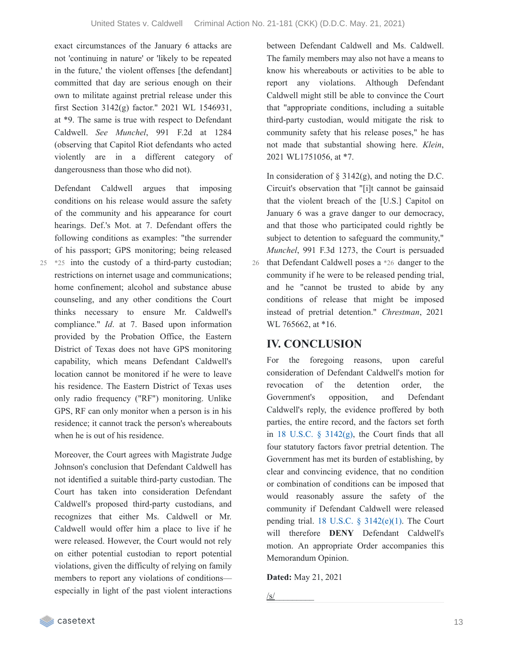exact circumstances of the January 6 attacks are not 'continuing in nature' or 'likely to be repeated in the future,' the violent offenses [the defendant] committed that day are serious enough on their own to militate against pretrial release under this first Section 3142(g) factor." 2021 WL 1546931, at \*9. The same is true with respect to Defendant Caldwell. *See Munchel*, 991 F.2d at 1284 (observing that Capitol Riot defendants who acted violently are in a different category of dangerousness than those who did not).

Defendant Caldwell argues that imposing conditions on his release would assure the safety of the community and his appearance for court hearings. Def.'s Mot. at 7. Defendant offers the following conditions as examples: "the surrender of his passport; GPS monitoring; being released 25 \*25 into the custody of a third-party custodian; restrictions on internet usage and communications; home confinement; alcohol and substance abuse counseling, and any other conditions the Court thinks necessary to ensure Mr. Caldwell's compliance." *Id*. at 7. Based upon information provided by the Probation Office, the Eastern District of Texas does not have GPS monitoring capability, which means Defendant Caldwell's location cannot be monitored if he were to leave his residence. The Eastern District of Texas uses only radio frequency ("RF") monitoring. Unlike GPS, RF can only monitor when a person is in his residence; it cannot track the person's whereabouts when he is out of his residence.

Moreover, the Court agrees with Magistrate Judge Johnson's conclusion that Defendant Caldwell has not identified a suitable third-party custodian. The Court has taken into consideration Defendant Caldwell's proposed third-party custodians, and recognizes that either Ms. Caldwell or Mr. Caldwell would offer him a place to live if he were released. However, the Court would not rely on either potential custodian to report potential violations, given the difficulty of relying on family members to report any violations of conditions especially in light of the past violent interactions

between Defendant Caldwell and Ms. Caldwell. The family members may also not have a means to know his whereabouts or activities to be able to report any violations. Although Defendant Caldwell might still be able to convince the Court that "appropriate conditions, including a suitable third-party custodian, would mitigate the risk to community safety that his release poses," he has not made that substantial showing here. *Klein*, 2021 WL1751056, at \*7.

In consideration of  $\S$  3142(g), and noting the D.C. Circuit's observation that "[i]t cannot be gainsaid that the violent breach of the [U.S.] Capitol on January 6 was a grave danger to our democracy, and that those who participated could rightly be subject to detention to safeguard the community," *Munchel*, 991 F.3d 1273, the Court is persuaded 26 that Defendant Caldwell poses a  $*26$  danger to the community if he were to be released pending trial, and he "cannot be trusted to abide by any conditions of release that might be imposed instead of pretrial detention." *Chrestman*, 2021 WL 765662, at \*16.

## **IV. CONCLUSION**

For the foregoing reasons, upon careful consideration of Defendant Caldwell's motion for revocation of the detention order, the Government's opposition, and Defendant Caldwell's reply, the evidence proffered by both parties, the entire record, and the factors set forth in 18 U.S.C. § [3142\(g\)](https://casetext.com/statute/united-states-code/title-18-crimes-and-criminal-procedure/part-ii-criminal-procedure/chapter-207-release-and-detention-pending-judicial-proceedings/section-3142-release-or-detention-of-a-defendant-pending-trial), the Court finds that all four statutory factors favor pretrial detention. The Government has met its burden of establishing, by clear and convincing evidence, that no condition or combination of conditions can be imposed that would reasonably assure the safety of the community if Defendant Caldwell were released pending trial. 18 U.S.C.  $\S$  [3142\(e\)\(1\)](https://casetext.com/statute/united-states-code/title-18-crimes-and-criminal-procedure/part-ii-criminal-procedure/chapter-207-release-and-detention-pending-judicial-proceedings/section-3142-release-or-detention-of-a-defendant-pending-trial). The Court will therefore **DENY** Defendant Caldwell's motion. An appropriate Order accompanies this Memorandum Opinion.

#### **Dated:** May 21, 2021

/s/\_\_\_\_\_\_\_\_\_